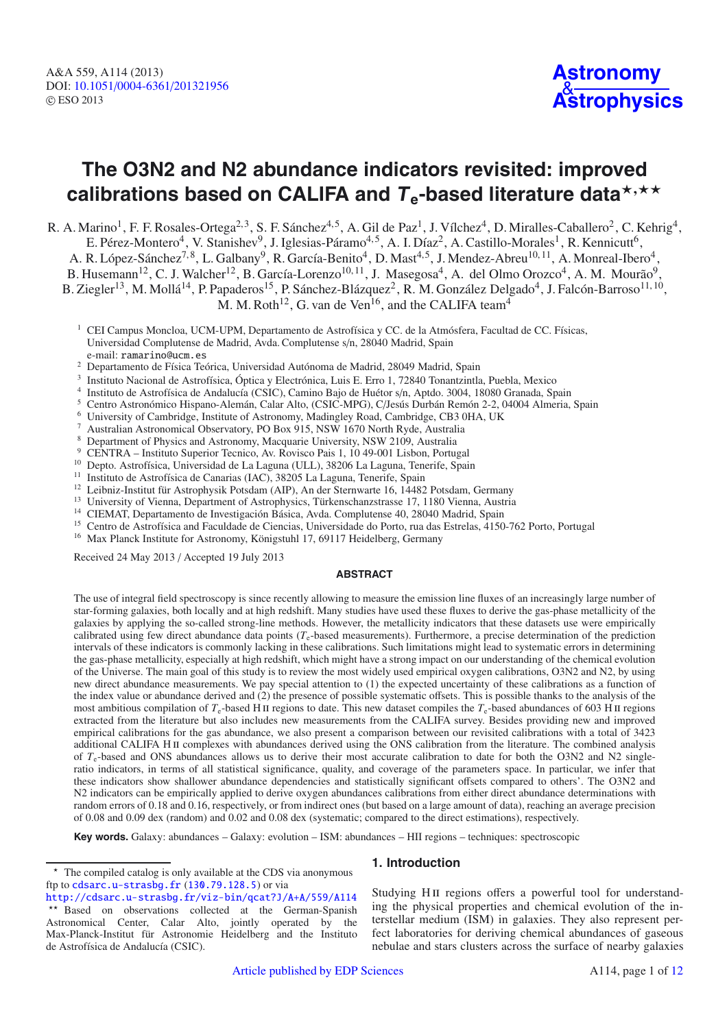# **The O3N2 and N2 abundance indicators revisited: improved** calibrations based on CALIFA and  $T_{\text{e}}$ -based literature data $^{\star, \star\star}$

R. A. Marino<sup>1</sup>, F. F. Rosales-Ortega<sup>2, 3</sup>, S. F. Sánchez<sup>4, 5</sup>, A. Gil de Paz<sup>1</sup>, J. Vílchez<sup>4</sup>, D. Miralles-Caballero<sup>2</sup>, C. Kehrig<sup>4</sup>, E. Pérez-Montero<sup>4</sup>, V. Stanishev<sup>9</sup>, J. Iglesias-Páramo<sup>4,5</sup>, A. I. Díaz<sup>2</sup>, A. Castillo-Morales<sup>1</sup>, R. Kennicutt<sup>6</sup>, A. R. López-Sánchez<sup>7, 8</sup>, L. Galbany<sup>9</sup>, R. García-Benito<sup>4</sup>, D. Mast<sup>4,5</sup>, J. Mendez-Abreu<sup>10, 11</sup>, A. Monreal-Ibero<sup>4</sup>, B. Husemann<sup>12</sup>, C. J. Walcher<sup>12</sup>, B. García-Lorenzo<sup>10, 11</sup>, J. Masegosa<sup>4</sup>, A. del Olmo Orozco<sup>4</sup>, A. M. Mourão<sup>9</sup>, B. Ziegler<sup>13</sup>, M. Mollá<sup>14</sup>, P. Papaderos<sup>15</sup>, P. Sánchez-Blázquez<sup>2</sup>, R. M. González Delgado<sup>4</sup>, J. Falcón-Barroso<sup>11, 10</sup>,

M. M. Roth<sup>12</sup>, G. van de Ven<sup>16</sup>, and the CALIFA team<sup>4</sup>

- <sup>2</sup> Departamento de Física Teórica, Universidad Autónoma de Madrid, 28049 Madrid, Spain
- 
- Instituto Nacional de Astrofísica, Óptica y Electrónica, Luis E. Erro 1, 72840 Tonantzintla, Puebla, Mexico<br>Instituto de Astrofísica de Andalucía (CSIC), Camino Bajo de Huétor s/n, Aptdo. 3004, 18080 Granada, Spain
- 
- Centro Astronómico Hispano-Alemán, Calar Alto, (CSIC-MPG), C/Jesús Durbán Remón 2-2, 04004 Almeria, Spain University of Cambridge, Institute of Astronomy, Madingley Road, Cambridge, CB3 0HA, UK
- 
- <sup>7</sup> Australian Astronomical Observatory, PO Box 915, NSW 1670 North Ryde, Australia <sup>8</sup> Department of Physics and Astronomy, Macquarie University, NSW 2109, Australia
- <sup>9</sup> CENTRA Instituto Superior Tecnico, Av. Rovisco Pais 1, 10 49-001 Lisbon, Portugal
- <sup>10</sup> Depto. Astrofísica, Universidad de La Laguna (ULL), 38206 La Laguna, Tenerife, Spain
- <sup>11</sup> Instituto de Astrofísica de Canarias (IAC), 38205 La Laguna, Tenerife, Spain
- <sup>12</sup> Leibniz-Institut für Astrophysik Potsdam (AIP), An der Sternwarte 16, 14482 Potsdam, Germany
- <sup>13</sup> University of Vienna, Department of Astrophysics, Türkenschanzstrasse 17, 1180 Vienna, Austria
- <sup>14</sup> CIEMAT, Departamento de Investigación Básica, Avda. Complutense 40, 28040 Madrid, Spain
- <sup>15</sup> Centro de Astrofísica and Faculdade de Ciencias, Universidade do Porto, rua das Estrelas, 4150-762 Porto, Portugal
- <sup>16</sup> Max Planck Institute for Astronomy, Königstuhl 17, 69117 Heidelberg, Germany

Received 24 May 2013 / Accepted 19 July 2013

### **ABSTRACT**

The use of integral field spectroscopy is since recently allowing to measure the emission line fluxes of an increasingly large number of star-forming galaxies, both locally and at high redshift. Many studies have used these fluxes to derive the gas-phase metallicity of the galaxies by applying the so-called strong-line methods. However, the metallicity indicators that these datasets use were empirically calibrated using few direct abundance data points (*T*e-based measurements). Furthermore, a precise determination of the prediction intervals of these indicators is commonly lacking in these calibrations. Such limitations might lead to systematic errors in determining the gas-phase metallicity, especially at high redshift, which might have a strong impact on our understanding of the chemical evolution of the Universe. The main goal of this study is to review the most widely used empirical oxygen calibrations, O3N2 and N2, by using new direct abundance measurements. We pay special attention to (1) the expected uncertainty of these calibrations as a function of the index value or abundance derived and (2) the presence of possible systematic offsets. This is possible thanks to the analysis of the most ambitious compilation of  $T_e$ -based H II regions to date. This new dataset compiles the  $T_e$ -based abundances of 603 H II regions extracted from the literature but also includes new measurements from the CALIFA survey. Besides providing new and improved empirical calibrations for the gas abundance, we also present a comparison between our revisited calibrations with a total of 3423 additional CALIFA H II complexes with abundances derived using the ONS calibration from the literature. The combined analysis of  $T_e$ -based and ONS abundances allows us to derive their most accurate calibration to date for both the O3N2 and N2 singleratio indicators, in terms of all statistical significance, quality, and coverage of the parameters space. In particular, we infer that these indicators show shallower abundance dependencies and statistically significant offsets compared to others'. The O3N2 and N2 indicators can be empirically applied to derive oxygen abundances calibrations from either direct abundance determinations with random errors of 0.18 and 0.16, respectively, or from indirect ones (but based on a large amount of data), reaching an average precision of 0.08 and 0.09 dex (random) and 0.02 and 0.08 dex (systematic; compared to the direct estimations), respectively.

**Key words.** Galaxy: abundances – Galaxy: evolution – ISM: abundances – HII regions – techniques: spectroscopic

## **1. Introduction**

Studying H<sub>II</sub> regions offers a powerful tool for understanding the physical properties and chemical evolution of the interstellar medium (ISM) in galaxies. They also represent perfect laboratories for deriving chemical abundances of gaseous nebulae and stars clusters across the surface of nearby galaxies

<sup>&</sup>lt;sup>1</sup> CEI Campus Moncloa, UCM-UPM, Departamento de Astrofísica y CC. de la Atmósfera, Facultad de CC. Físicas, Universidad Complutense de Madrid, Avda. Complutense s/n, 28040 Madrid, Spain e-mail: ramarino@ucm.es

<sup>\*</sup> The compiled catalog is only available at the CDS via anonymous ftp to [cdsarc.u-strasbg.fr](http://cdsarc.u-strasbg.fr) ([130.79.128.5](ftp://130.79.128.5)) or via

<http://cdsarc.u-strasbg.fr/viz-bin/qcat?J/A+A/559/A114> \*\* Based on observations collected at the German-Spanish Astronomical Center, Calar Alto, jointly operated by the Max-Planck-Institut für Astronomie Heidelberg and the Instituto de Astrofísica de Andalucía (CSIC).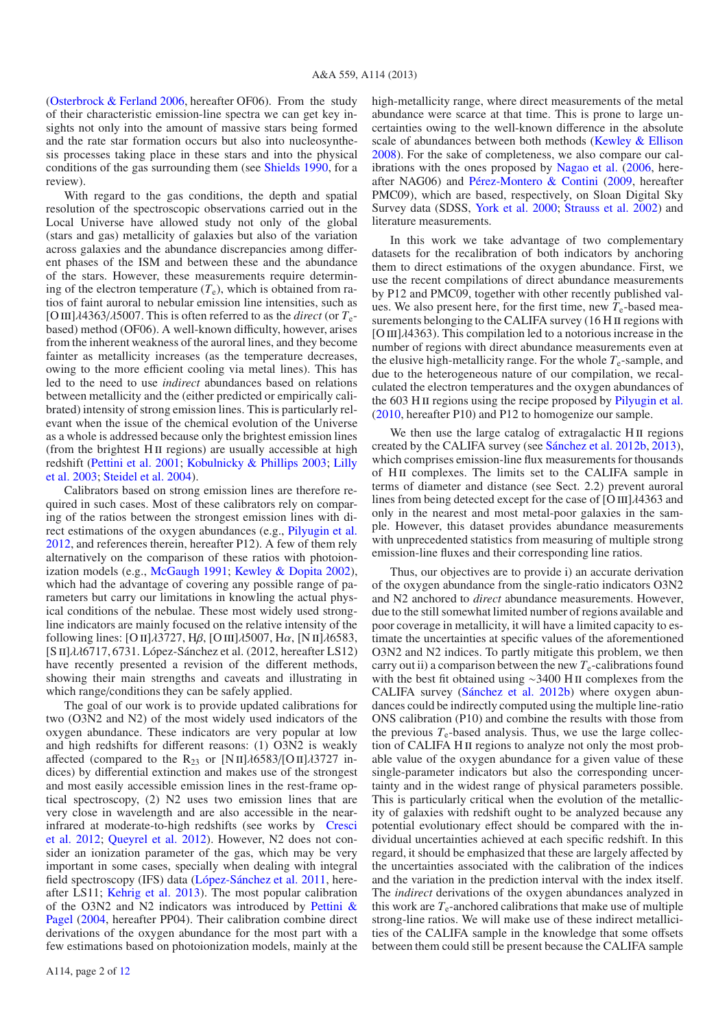[\(Osterbrock & Ferland 2006](#page-10-0), hereafter OF06). From the study of their characteristic emission-line spectra we can get key insights not only into the amount of massive stars being formed and the rate star formation occurs but also into nucleosynthesis processes taking place in these stars and into the physical conditions of the gas surrounding them (see [Shields 1990,](#page-11-1) for a review).

With regard to the gas conditions, the depth and spatial resolution of the spectroscopic observations carried out in the Local Universe have allowed study not only of the global (stars and gas) metallicity of galaxies but also of the variation across galaxies and the abundance discrepancies among different phases of the ISM and between these and the abundance of the stars. However, these measurements require determining of the electron temperature  $(T_e)$ , which is obtained from ratios of faint auroral to nebular emission line intensities, such as [O III] $\lambda$ 4363/ $\lambda$ 5007. This is often referred to as the *direct* (or  $T_e$ based) method (OF06). A well-known difficulty, however, arises from the inherent weakness of the auroral lines, and they become fainter as metallicity increases (as the temperature decreases, owing to the more efficient cooling via metal lines). This has led to the need to use *indirect* abundances based on relations between metallicity and the (either predicted or empirically calibrated) intensity of strong emission lines. This is particularly relevant when the issue of the chemical evolution of the Universe as a whole is addressed because only the brightest emission lines (from the brightest H<sub>II</sub> regions) are usually accessible at high redshift [\(Pettini et al. 2001](#page-11-2); [Kobulnicky & Phillips 2003](#page-10-1)[;](#page-10-2) Lilly et al. [2003;](#page-10-2) [Steidel et al. 2004\)](#page-11-3).

Calibrators based on strong emission lines are therefore required in such cases. Most of these calibrators rely on comparing of the ratios between the strongest emission lines with direct estimations of the oxygen abundances (e.g., [Pilyugin et al.](#page-11-4) [2012,](#page-11-4) and references therein, hereafter P12). A few of them rely alternatively on the comparison of these ratios with photoionization models (e.g., [McGaugh 1991](#page-10-3); [Kewley & Dopita 2002\)](#page-10-4), which had the advantage of covering any possible range of parameters but carry our limitations in knowling the actual physical conditions of the nebulae. These most widely used strongline indicators are mainly focused on the relative intensity of the following lines: [O II] $\lambda$ 3727, H $\beta$ , [O III] $\lambda$ 5007, H $\alpha$ , [N II] $\lambda$ 6583, [S ii]λλ6717, 6731. López-Sánchez et al. (2012, hereafter LS12) have recently presented a revision of the different methods, showing their main strengths and caveats and illustrating in which range/conditions they can be safely applied.

The goal of our work is to provide updated calibrations for two (O3N2 and N2) of the most widely used indicators of the oxygen abundance. These indicators are very popular at low and high redshifts for different reasons: (1) O3N2 is weakly affected (compared to the R<sub>23</sub> or [N II] $\lambda$ 6583/[O II] $\lambda$ 3727 indices) by differential extinction and makes use of the strongest and most easily accessible emission lines in the rest-frame optical spectroscopy, (2) N2 uses two emission lines that are very close in wavelength and are also accessible in the nearinfra[red](#page-10-5) [at](#page-10-5) [moderate-to-high](#page-10-5) [redshifts](#page-10-5) [\(see](#page-10-5) [works](#page-10-5) [by](#page-10-5) Cresci et al. [2012](#page-10-5); [Queyrel et al. 2012](#page-11-5)). However, N2 does not consider an ionization parameter of the gas, which may be very important in some cases, specially when dealing with integral field spectroscopy (IFS) data [\(López-Sánchez et al. 2011,](#page-10-6) hereafter LS11; [Kehrig et al. 2013\)](#page-10-7). The most popular calibration of th[e](#page-11-6) [O3N2](#page-11-6) [and](#page-11-6) [N2](#page-11-6) [indicators](#page-11-6) [was](#page-11-6) [introduced](#page-11-6) [by](#page-11-6) Pettini & Pagel [\(2004,](#page-11-6) hereafter PP04). Their calibration combine direct derivations of the oxygen abundance for the most part with a few estimations based on photoionization models, mainly at the high-metallicity range, where direct measurements of the metal abundance were scarce at that time. This is prone to large uncertainties owing to the well-known difference in the absolute scale of abundances between both methods [\(Kewley & Ellison](#page-10-8) [2008\)](#page-10-8). For the sake of completeness, we also compare our calibrations with the ones proposed by [Nagao et al.](#page-10-9) [\(2006,](#page-10-9) hereafter NAG06) and [Pérez-Montero & Contini](#page-11-7) [\(2009](#page-11-7), hereafter PMC09), which are based, respectively, on Sloan Digital Sky Survey data (SDSS, [York et al. 2000;](#page-11-8) [Strauss et al. 2002](#page-11-9)) and literature measurements.

In this work we take advantage of two complementary datasets for the recalibration of both indicators by anchoring them to direct estimations of the oxygen abundance. First, we use the recent compilations of direct abundance measurements by P12 and PMC09, together with other recently published values. We also present here, for the first time, new  $T_e$ -based measurements belonging to the CALIFA survey (16 H II regions with  $[O III]$  $\lambda$ 4363). This compilation led to a notorious increase in the number of regions with direct abundance measurements even at the elusive high-metallicity range. For the whole  $T_e$ -sample, and due to the heterogeneous nature of our compilation, we recalculated the electron temperatures and the oxygen abundances of the 603 H II regions using the recipe proposed by [Pilyugin et al.](#page-11-10) [\(2010,](#page-11-10) hereafter P10) and P12 to homogenize our sample.

We then use the large catalog of extragalactic H<sub>II</sub> regions created by the CALIFA survey (see [Sánchez et al. 2012b,](#page-11-11) [2013\)](#page-11-12), which comprises emission-line flux measurements for thousands of H<sub>II</sub> complexes. The limits set to the CALIFA sample in terms of diameter and distance (see Sect. 2.2) prevent auroral lines from being detected except for the case of  $[O III]$  $\lambda$ 4363 and only in the nearest and most metal-poor galaxies in the sample. However, this dataset provides abundance measurements with unprecedented statistics from measuring of multiple strong emission-line fluxes and their corresponding line ratios.

Thus, our objectives are to provide i) an accurate derivation of the oxygen abundance from the single-ratio indicators O3N2 and N2 anchored to *direct* abundance measurements. However, due to the still somewhat limited number of regions available and poor coverage in metallicity, it will have a limited capacity to estimate the uncertainties at specific values of the aforementioned O3N2 and N2 indices. To partly mitigate this problem, we then carry out ii) a comparison between the new  $T_e$ -calibrations found with the best fit obtained using <sup>∼</sup>3400 H ii complexes from the CALIFA survey [\(Sánchez et al. 2012b\)](#page-11-11) where oxygen abundances could be indirectly computed using the multiple line-ratio ONS calibration (P10) and combine the results with those from the previous  $T_e$ -based analysis. Thus, we use the large collection of CALIFA H II regions to analyze not only the most probable value of the oxygen abundance for a given value of these single-parameter indicators but also the corresponding uncertainty and in the widest range of physical parameters possible. This is particularly critical when the evolution of the metallicity of galaxies with redshift ought to be analyzed because any potential evolutionary effect should be compared with the individual uncertainties achieved at each specific redshift. In this regard, it should be emphasized that these are largely affected by the uncertainties associated with the calibration of the indices and the variation in the prediction interval with the index itself. The *indirect* derivations of the oxygen abundances analyzed in this work are  $T_e$ -anchored calibrations that make use of multiple strong-line ratios. We will make use of these indirect metallicities of the CALIFA sample in the knowledge that some offsets between them could still be present because the CALIFA sample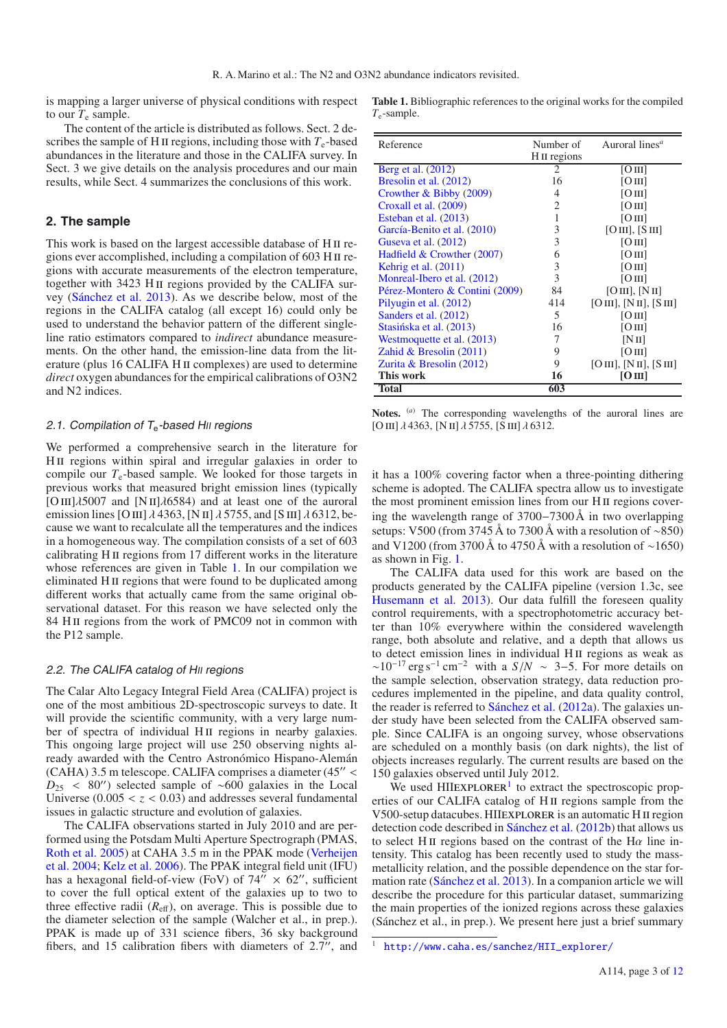is mapping a larger universe of physical conditions with respect to our  $T_e$  sample.

The content of the article is distributed as follows. Sect. 2 describes the sample of H<sub>II</sub> regions, including those with  $T_e$ -based abundances in the literature and those in the CALIFA survey. In Sect. 3 we give details on the analysis procedures and our main results, while Sect. 4 summarizes the conclusions of this work.

#### **2. The sample**

This work is based on the largest accessible database of H II regions ever accomplished, including a compilation of 603 H ii regions with accurate measurements of the electron temperature, together with 3423 H<sub>II</sub> regions provided by the CALIFA survey [\(Sánchez et al. 2013\)](#page-11-12). As we describe below, most of the regions in the CALIFA catalog (all except 16) could only be used to understand the behavior pattern of the different singleline ratio estimators compared to *indirect* abundance measurements. On the other hand, the emission-line data from the literature (plus 16 CALIFA H II complexes) are used to determine *direct* oxygen abundances for the empirical calibrations of O3N2 and N2 indices.

#### 2.1. Compilation of  $T_e$ -based HII regions

We performed a comprehensive search in the literature for HII regions within spiral and irregular galaxies in order to compile our  $T_e$ -based sample. We looked for those targets in previous works that measured bright emission lines (typically [O III] $\lambda$ 5007 and [N II] $\lambda$ 6584) and at least one of the auroral emission lines [O III]  $\lambda$  4363, [N II]  $\lambda$  5755, and [S III]  $\lambda$  6312, because we want to recalculate all the temperatures and the indices in a homogeneous way. The compilation consists of a set of 603 calibrating H II regions from 17 different works in the literature whose references are given in Table [1.](#page-2-0) In our compilation we eliminated H<sub>II</sub> regions that were found to be duplicated among different works that actually came from the same original observational dataset. For this reason we have selected only the 84 H<sub>II</sub> regions from the work of PMC09 not in common with the P12 sample.

#### 2.2. The CALIFA catalog of HII regions

The Calar Alto Legacy Integral Field Area (CALIFA) project is one of the most ambitious 2D-spectroscopic surveys to date. It will provide the scientific community, with a very large number of spectra of individual H<sub>II</sub> regions in nearby galaxies. This ongoing large project will use 250 observing nights already awarded with the Centro Astronómico Hispano-Alemán (CAHA) 3.5 m telescope. CALIFA comprises a diameter  $(45'' <$  $D_{25}$  < 80") selected sample of ~600 galaxies in the Local Universe  $(0.005 < z < 0.03)$  and addresses several fundamental issues in galactic structure and evolution of galaxies.

The CALIFA observations started in July 2010 and are performed using the Potsdam Multi Aperture Spectrograph (PMAS, [Roth et al. 2005](#page-11-13)[\)](#page-11-14) [at](#page-11-14) [CAHA](#page-11-14) [3.5](#page-11-14) [m](#page-11-14) [in](#page-11-14) [the](#page-11-14) [PPAK](#page-11-14) [mode](#page-11-14) [\(](#page-11-14)Verheijen et al. [2004](#page-11-14); [Kelz et al. 2006\)](#page-10-10). The PPAK integral field unit (IFU) has a hexagonal field-of-view (FoV) of 74"  $\times$  62", sufficient to cover the full optical extent of the galaxies up to two to three effective radii  $(R<sub>eff</sub>)$ , on average. This is possible due to the diameter selection of the sample (Walcher et al., in prep.). PPAK is made up of 331 science fibers, 36 sky background fibers, and 15 calibration fibers with diameters of  $2.7$ ", and

<span id="page-2-0"></span>**Table 1.** Bibliographic references to the original works for the compiled *T*e-sample.

| Reference                      | Number of               | Auroral lines <sup>a</sup> |
|--------------------------------|-------------------------|----------------------------|
|                                | H <sub>II</sub> regions |                            |
| Berg et al. (2012)             | 2                       | [OIII]                     |
| Bresolin et al. (2012)         | 16                      | [OIII]                     |
| Crowther $& Bibby (2009)$      | $\overline{4}$          | [OIII]                     |
| Croxall et al. (2009)          | 2                       | [O <sub>III</sub> ]        |
| Esteban et al. (2013)          | 1                       | [OIII]                     |
| García-Benito et al. (2010)    | 3                       | [O III], [S III]           |
| Guseva et al. (2012)           | 3                       | [OIII]                     |
| Hadfield & Crowther (2007)     | 6                       | [OIII]                     |
| Kehrig et al. $(2011)$         | 3                       | [OIII]                     |
| Monreal-Ibero et al. (2012)    | 3                       | [OIII]                     |
| Pérez-Montero & Contini (2009) | 84                      | [OIII], [NII]              |
| Pilyugin et al. (2012)         | 414                     | [O III], [N II], [S III]   |
| Sanders et al. (2012)          | 5                       | [O <sub>III</sub> ]        |
| Stasińska et al. (2013)        | 16                      | [O <sub>III</sub> ]        |
| Westmoquette et al. (2013)     | 7                       | [NII]                      |
| Zahid & Bresolin $(2011)$      | 9                       | [O <sub>III</sub> ]        |
| Zurita & Bresolin (2012)       | 9                       | [O III], [N II], [S III]   |
| This work                      | 16                      | [O III]                    |
| <b>Total</b>                   | 603                     |                            |

Notes. <sup>(a)</sup> The corresponding wavelengths of the auroral lines are [O III]  $\lambda$  4363, [N II]  $\lambda$  5755, [S III]  $\lambda$  6312.

it has a 100% covering factor when a three-pointing dithering scheme is adopted. The CALIFA spectra allow us to investigate the most prominent emission lines from our H<sub>II</sub> regions covering the wavelength range of 3700−7300 Å in two overlapping setups: V500 (from 3745 Å to 7300 Å with a resolution of ∼850) and V1200 (from 3700 Å to 4750 Å with a resolution of ∼1650) as shown in Fig. [1.](#page-3-0)

The CALIFA data used for this work are based on the products generated by the CALIFA pipeline (version 1.3c, see [Husemann et al. 2013](#page-10-21)). Our data fulfill the foreseen quality control requirements, with a spectrophotometric accuracy better than 10% everywhere within the considered wavelength range, both absolute and relative, and a depth that allows us to detect emission lines in individual H<sub>II</sub> regions as weak as  $\sim 10^{-17}$  erg s<sup>-1</sup> cm<sup>-2</sup> with a *S*/*N* ~ 3–5. For more details on the sample selection, observation strategy, data reduction procedures implemented in the pipeline, and data quality control, the reader is referred to [Sánchez et al.](#page-11-20) [\(2012a](#page-11-20)). The galaxies under study have been selected from the CALIFA observed sample. Since CALIFA is an ongoing survey, whose observations are scheduled on a monthly basis (on dark nights), the list of objects increases regularly. The current results are based on the 150 galaxies observed until July 2012.

<span id="page-2-1"></span>We used  $HIIEXPLORER<sup>1</sup>$  $HIIEXPLORER<sup>1</sup>$  $HIIEXPLORER<sup>1</sup>$  to extract the spectroscopic properties of our CALIFA catalog of H<sub>II</sub> regions sample from the V500-setup datacubes. HIIEXPLORER is an automatic H II region detection code described in [Sánchez et al.](#page-11-11) [\(2012b](#page-11-11)) that allows us to select H<sub>II</sub> regions based on the contrast of the H $\alpha$  line intensity. This catalog has been recently used to study the massmetallicity relation, and the possible dependence on the star formation rate [\(Sánchez et al. 2013\)](#page-11-12). In a companion article we will describe the procedure for this particular dataset, summarizing the main properties of the ionized regions across these galaxies (Sánchez et al., in prep.). We present here just a brief summary

<sup>1</sup> [http://www.caha.es/sanchez/HII\\_explorer/](http://www.caha.es/sanchez/HII_explorer/)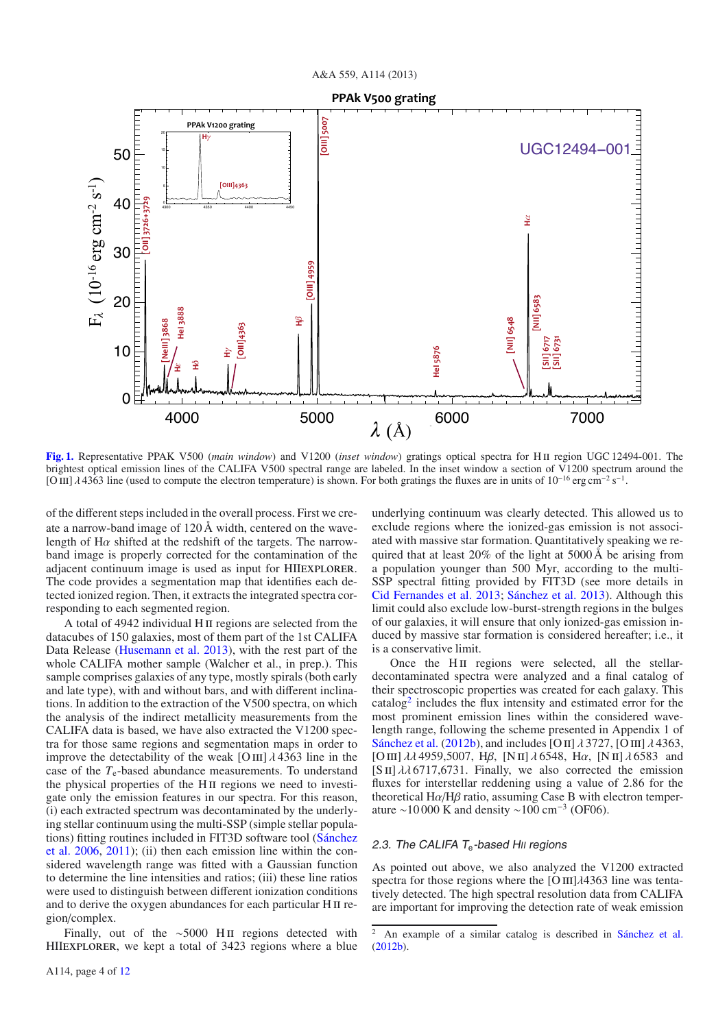**PPAk V500 grating** 



<span id="page-3-0"></span>[Fig. 1.](http://dexter.edpsciences.org/applet.php?DOI=10.1051/0004-6361/201321956&pdf_id=1) Representative PPAK V500 (*main window*) and V1200 (*inset window*) gratings optical spectra for H II region UGC 12494-001. The brightest optical emission lines of the CALIFA V500 spectral range are labeled. In the inset window a section of V1200 spectrum around the [O III]  $\lambda$  4363 line (used to compute the electron temperature) is shown. For both gratings the fluxes are in units of 10<sup>-16</sup> erg cm<sup>-2</sup> s<sup>-1</sup>.

of the different steps included in the overall process. First we create a narrow-band image of 120 Å width, centered on the wavelength of  $H\alpha$  shifted at the redshift of the targets. The narrowband image is properly corrected for the contamination of the adjacent continuum image is used as input for HIIexplorer. The code provides a segmentation map that identifies each detected ionized region. Then, it extracts the integrated spectra corresponding to each segmented region.

A total of 4942 individual H II regions are selected from the datacubes of 150 galaxies, most of them part of the 1st CALIFA Data Release [\(Husemann et al. 2013\)](#page-10-21), with the rest part of the whole CALIFA mother sample (Walcher et al., in prep.). This sample comprises galaxies of any type, mostly spirals (both early and late type), with and without bars, and with different inclinations. In addition to the extraction of the V500 spectra, on which the analysis of the indirect metallicity measurements from the CALIFA data is based, we have also extracted the V1200 spectra for those same regions and segmentation maps in order to improve the detectability of the weak  $\text{[O\,\text{III}]}$   $\lambda$  4363 line in the case of the *T*e-based abundance measurements. To understand the physical properties of the H<sub>II</sub> regions we need to investigate only the emission features in our spectra. For this reason, (i) each extracted spectrum was decontaminated by the underlying stellar continuum using the multi-SSP (simple stellar populations[\) fitting routines included in FIT3D software tool \(](#page-11-21)Sánchez et al. [2006](#page-11-21), [2011](#page-11-22)); (ii) then each emission line within the considered wavelength range was fitted with a Gaussian function to determine the line intensities and ratios; (iii) these line ratios were used to distinguish between different ionization conditions and to derive the oxygen abundances for each particular H II region/complex.

Finally, out of the ∼5000 H II regions detected with HIIEXPLORER, we kept a total of 3423 regions where a blue underlying continuum was clearly detected. This allowed us to exclude regions where the ionized-gas emission is not associated with massive star formation. Quantitatively speaking we required that at least 20% of the light at 5000 Å be arising from a population younger than 500 Myr, according to the multi-SSP spectral fitting provided by FIT3D (see more details in [Cid Fernandes et al. 2013;](#page-10-22) [Sánchez et al. 2013](#page-11-12)). Although this limit could also exclude low-burst-strength regions in the bulges of our galaxies, it will ensure that only ionized-gas emission induced by massive star formation is considered hereafter; i.e., it is a conservative limit.

Once the H $\scriptstyle\rm II$  regions were selected, all the stellardecontaminated spectra were analyzed and a final catalog of their spectroscopic properties was created for each galaxy. This  $catalog<sup>2</sup>$  $catalog<sup>2</sup>$  $catalog<sup>2</sup>$  includes the flux intensity and estimated error for the most prominent emission lines within the considered wavelength range, following the scheme presented in Appendix 1 of [Sánchez et al.](#page-11-11) [\(2012b\)](#page-11-11), and includes [O II]  $\lambda$  3727, [O III]  $\lambda$  4363, [O III]  $\lambda\lambda$  4959,5007, H $\beta$ , [N II]  $\lambda$  6548, H $\alpha$ , [N II]  $\lambda$  6583 and [S II]  $\lambda\lambda$  6717, 6731. Finally, we also corrected the emission fluxes for interstellar reddening using a value of 2.86 for the theoretical  $H\alpha/H\beta$  ratio, assuming Case B with electron temperature ~10 000 K and density ~100 cm<sup>-3</sup> (OF06).

#### <span id="page-3-1"></span>2.3. The CALIFA  $T_e$ -based HII regions

As pointed out above, we also analyzed the V1200 extracted spectra for those regions where the  $[OIII]\lambda4363$  line was tentatively detected. The high spectral resolution data from CALIFA are important for improving the detection rate of weak emission

<sup>2</sup> An example of a similar catalog is described in [Sánchez et al.](#page-11-11) [\(2012b\)](#page-11-11).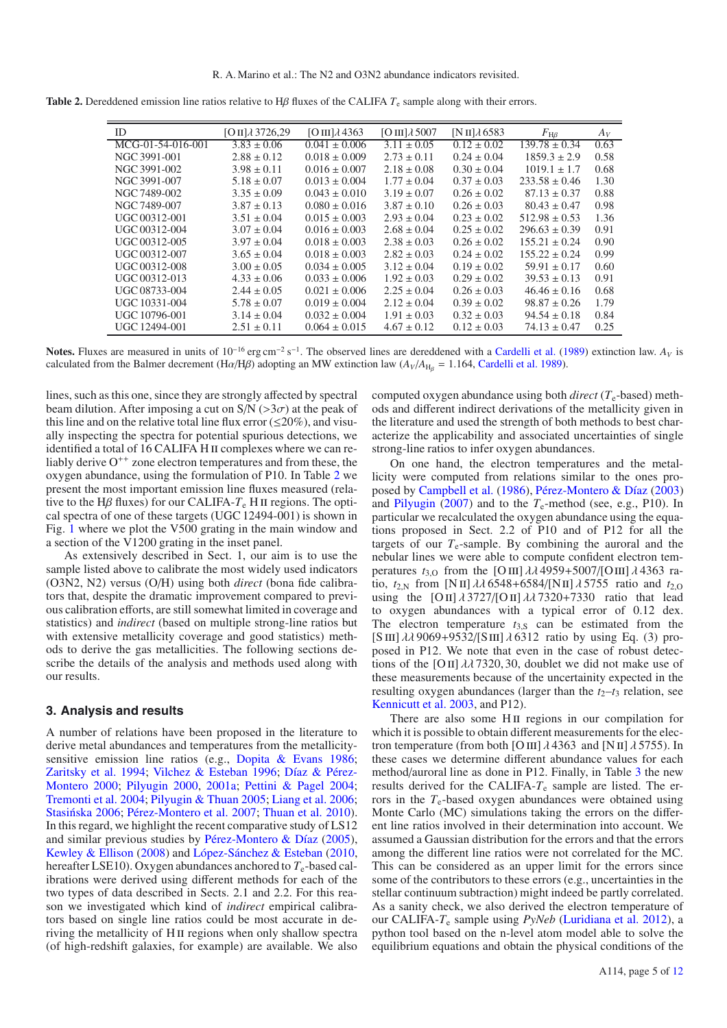<span id="page-4-0"></span>

|  |  |  |  | Table 2. Dereddened emission line ratios relative to H $\beta$ fluxes of the CALIFA $T_e$ sample along with their errors. |
|--|--|--|--|---------------------------------------------------------------------------------------------------------------------------|
|--|--|--|--|---------------------------------------------------------------------------------------------------------------------------|

| ID                | $[O II]\lambda$ 3726,29 | $[O III]$ $\lambda$ 4363 | $[O III]$ $\lambda$ 5007 | $[N II]\lambda 6583$ | $F_{\rm H\beta}$  | $A_V$ |
|-------------------|-------------------------|--------------------------|--------------------------|----------------------|-------------------|-------|
| MCG-01-54-016-001 | $3.83 \pm 0.06$         | $0.041 \pm 0.006$        | $3.11 \pm 0.05$          | $0.12 \pm 0.02$      | $139.78 \pm 0.34$ | 0.63  |
| NGC 3991-001      | $2.88 \pm 0.12$         | $0.018 \pm 0.009$        | $2.73 \pm 0.11$          | $0.24 \pm 0.04$      | $1859.3 \pm 2.9$  | 0.58  |
| NGC 3991-002      | $3.98 \pm 0.11$         | $0.016 \pm 0.007$        | $2.18 \pm 0.08$          | $0.30 \pm 0.04$      | $1019.1 \pm 1.7$  | 0.68  |
| NGC 3991-007      | $5.18 \pm 0.07$         | $0.013 \pm 0.004$        | $1.77 \pm 0.04$          | $0.37 \pm 0.03$      | $233.58 \pm 0.46$ | 1.30  |
| NGC 7489-002      | $3.35 \pm 0.09$         | $0.043 \pm 0.010$        | $3.19 \pm 0.07$          | $0.26 \pm 0.02$      | $87.13 \pm 0.37$  | 0.88  |
| NGC 7489-007      | $3.87 \pm 0.13$         | $0.080 \pm 0.016$        | $3.87 \pm 0.10$          | $0.26 \pm 0.03$      | $80.43 \pm 0.47$  | 0.98  |
| UGC 00312-001     | $3.51 \pm 0.04$         | $0.015 \pm 0.003$        | $2.93 \pm 0.04$          | $0.23 \pm 0.02$      | $512.98 \pm 0.53$ | 1.36  |
| UGC 00312-004     | $3.07 \pm 0.04$         | $0.016 \pm 0.003$        | $2.68 \pm 0.04$          | $0.25 \pm 0.02$      | $296.63 \pm 0.39$ | 0.91  |
| UGC 00312-005     | $3.97 \pm 0.04$         | $0.018 \pm 0.003$        | $2.38 \pm 0.03$          | $0.26 \pm 0.02$      | $155.21 \pm 0.24$ | 0.90  |
| UGC 00312-007     | $3.65 \pm 0.04$         | $0.018 \pm 0.003$        | $2.82 \pm 0.03$          | $0.24 \pm 0.02$      | $155.22 \pm 0.24$ | 0.99  |
| UGC 00312-008     | $3.00 \pm 0.05$         | $0.034 \pm 0.005$        | $3.12 \pm 0.04$          | $0.19 \pm 0.02$      | $59.91 \pm 0.17$  | 0.60  |
| UGC 00312-013     | $4.33 \pm 0.06$         | $0.033 \pm 0.006$        | $1.92 \pm 0.03$          | $0.29 \pm 0.02$      | $39.53 \pm 0.13$  | 0.91  |
| UGC 08733-004     | $2.44 \pm 0.05$         | $0.021 \pm 0.006$        | $2.25 \pm 0.04$          | $0.26 \pm 0.03$      | $46.46 \pm 0.16$  | 0.68  |
| UGC 10331-004     | $5.78 \pm 0.07$         | $0.019 \pm 0.004$        | $2.12 \pm 0.04$          | $0.39 \pm 0.02$      | $98.87 \pm 0.26$  | 1.79  |
| UGC 10796-001     | $3.14 \pm 0.04$         | $0.032 \pm 0.004$        | $1.91 \pm 0.03$          | $0.32 \pm 0.03$      | $94.54 \pm 0.18$  | 0.84  |
| UGC 12494-001     | $2.51 \pm 0.11$         | $0.064 \pm 0.015$        | $4.67 \pm 0.12$          | $0.12 \pm 0.03$      | $74.13 \pm 0.47$  | 0.25  |

**Notes.** Fluxes are measured in units of  $10^{-16}$  erg cm<sup>-2</sup> s<sup>-1</sup>. The observed lines are dereddened with a [Cardelli et al.](#page-10-23) [\(1989\)](#page-10-23) extinction law.  $A_V$  is calculated from the Balmer decrement (H $\alpha$ /H $\beta$ ) adopting an MW extinction law ( $A_V/A_{H_R} = 1.164$ , [Cardelli et al. 1989](#page-10-23)).

lines, such as this one, since they are strongly affected by spectral beam dilution. After imposing a cut on  $S/N$  ( $>3\sigma$ ) at the peak of this line and on the relative total line flux error ( $\leq$ 20%), and visually inspecting the spectra for potential spurious detections, we identified a total of 16 CALIFA H II complexes where we can reliably derive  $O^{++}$  zone electron temperatures and from these, the oxygen abundance, using the formulation of P10. In Table [2](#page-4-0) we present the most important emission line fluxes measured (relative to the H $\beta$  fluxes) for our CALIFA- $T_e$  H II regions. The optical spectra of one of these targets (UGC 12494-001) is shown in Fig. [1](#page-3-0) where we plot the V500 grating in the main window and a section of the V1200 grating in the inset panel.

As extensively described in Sect. 1, our aim is to use the sample listed above to calibrate the most widely used indicators (O3N2, N2) versus (O/H) using both *direct* (bona fide calibrators that, despite the dramatic improvement compared to previous calibration efforts, are still somewhat limited in coverage and statistics) and *indirect* (based on multiple strong-line ratios but with extensive metallicity coverage and good statistics) methods to derive the gas metallicities. The following sections describe the details of the analysis and methods used along with our results.

#### **3. Analysis and results**

A number of relations have been proposed in the literature to derive metal abundances and temperatures from the metallicitysensitive emission line ratios (e.g., [Dopita & Evans 1986;](#page-10-24) [Zaritsky et al. 1994](#page-11-23); [Vilchez & Esteban 1996;](#page-11-24) Díaz & Pérez-Montero [2000;](#page-10-25) [Pilyugin 2000](#page-11-25), [2001a](#page-11-26); [Pettini & Pagel 2004;](#page-11-6) [Tremonti et al. 2004;](#page-11-27) [Pilyugin & Thuan 2005;](#page-11-28) [Liang et al. 2006;](#page-10-26) Stasińska 2006; [Pérez-Montero et al. 2007;](#page-11-30) [Thuan et al. 2010\)](#page-11-31). In this regard, we highlight the recent comparative study of LS12 and similar previous studies by [Pérez-Montero & Díaz](#page-11-32) [\(2005\)](#page-11-32), [Kewley & Ellison](#page-10-8) [\(2008](#page-10-8)) and [López-Sánchez & Esteban](#page-10-27) [\(2010](#page-10-27), hereafter LSE10). Oxygen abundances anchored to  $T_e$ -based calibrations were derived using different methods for each of the two types of data described in Sects. 2.1 and 2.2. For this reason we investigated which kind of *indirect* empirical calibrators based on single line ratios could be most accurate in deriving the metallicity of HII regions when only shallow spectra (of high-redshift galaxies, for example) are available. We also computed oxygen abundance using both *direct* ( $T_e$ -based) methods and different indirect derivations of the metallicity given in the literature and used the strength of both methods to best characterize the applicability and associated uncertainties of single strong-line ratios to infer oxygen abundances.

On one hand, the electron temperatures and the metallicity were computed from relations similar to the ones proposed by [Campbell et al.](#page-10-28) [\(1986](#page-10-28)), [Pérez-Montero & Díaz](#page-11-33) [\(2003](#page-11-33)) and [Pilyugin](#page-11-34) [\(2007\)](#page-11-34) and to the  $T_e$ -method (see, e.g., P10). In particular we recalculated the oxygen abundance using the equations proposed in Sect. 2.2 of P10 and of P12 for all the targets of our  $T_e$ -sample. By combining the auroral and the nebular lines we were able to compute confident electron temperatures  $t_{3,0}$  from the [O III]  $\lambda \lambda$  4959+5007/[O III]  $\lambda$  4363 ratio,  $t_{2,N}$  from [N II]  $\lambda \lambda$  6548+6584/[N II]  $\lambda$  5755 ratio and  $t_{2,0}$ using the  $[O II] \lambda 3727/[O II] \lambda \lambda 7320+7330$  ratio that lead to oxygen abundances with a typical error of 0.12 dex. The electron temperature  $t_{3,S}$  can be estimated from the [S III]  $\lambda \lambda$  9069+9532/[S III]  $\lambda$  6312 ratio by using Eq. (3) proposed in P12. We note that even in the case of robust detections of the [O II]  $\lambda\lambda$  7320, 30, doublet we did not make use of these measurements because of the uncertainity expected in the resulting oxygen abundances (larger than the  $t_2$ – $t_3$  relation, see [Kennicutt et al. 2003,](#page-10-29) and P12).

There are also some H<sub>II</sub> regions in our compilation for which it is possible to obtain different measurements for the electron temperature (from both [O III]  $\lambda$  4363 and [N II]  $\lambda$  5755). In these cases we determine different abundance values for each method/auroral line as done in P12. Finally, in Table [3](#page-5-0) the new results derived for the CALIFA-*T*<sup>e</sup> sample are listed. The errors in the  $T_e$ -based oxygen abundances were obtained using Monte Carlo (MC) simulations taking the errors on the different line ratios involved in their determination into account. We assumed a Gaussian distribution for the errors and that the errors among the different line ratios were not correlated for the MC. This can be considered as an upper limit for the errors since some of the contributors to these errors (e.g., uncertainties in the stellar continuum subtraction) might indeed be partly correlated. As a sanity check, we also derived the electron temperature of our CALIFA-*T*<sup>e</sup> sample using *PyNeb* [\(Luridiana et al. 2012](#page-10-30)), a python tool based on the n-level atom model able to solve the equilibrium equations and obtain the physical conditions of the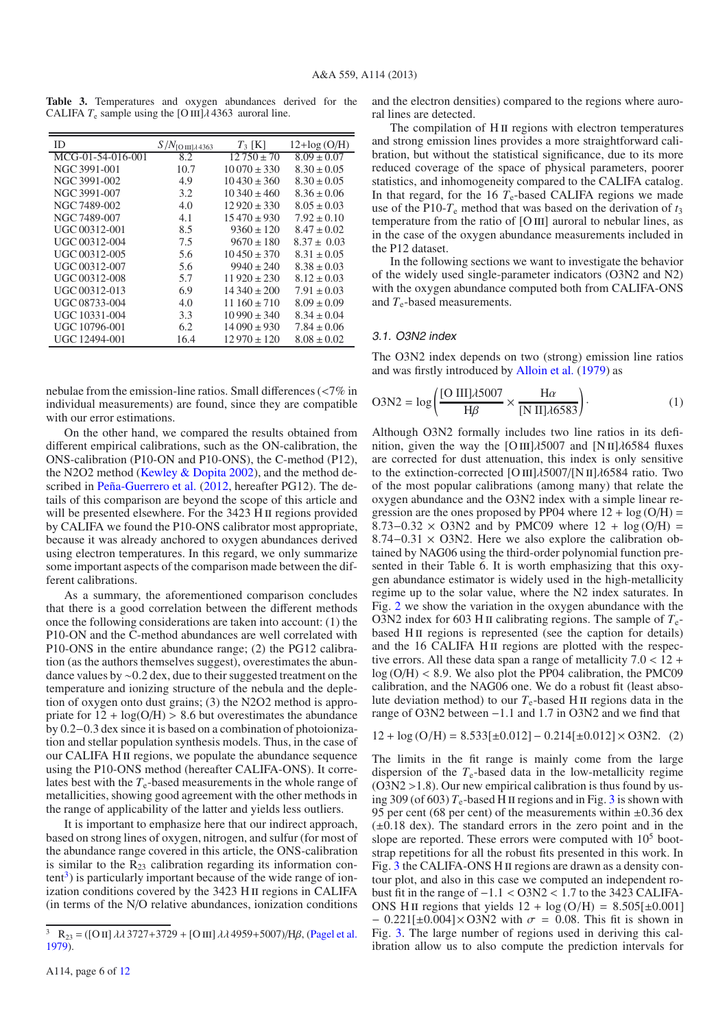<span id="page-5-0"></span>**Table 3.** Temperatures and oxygen abundances derived for the CALIFA  $T_e$  sample using the [O III] $\lambda$  4363 auroral line.

| ID                | $S/N_{\rm [O\,III]\lambda\,4363}$ | $T_3$ [K]        | $12 + \log(O/H)$ |
|-------------------|-----------------------------------|------------------|------------------|
| MCG-01-54-016-001 | 8.2                               | $12750 \pm 70$   | $8.09 \pm 0.07$  |
| NGC 3991-001      | 10.7                              | $10070 \pm 330$  | $8.30 \pm 0.05$  |
| NGC 3991-002      | 4.9                               | $10430 \pm 360$  | $8.30 \pm 0.05$  |
| NGC 3991-007      | 3.2                               | $10.340 \pm 460$ | $8.36 \pm 0.06$  |
| NGC 7489-002      | 4.0                               | $12920 \pm 330$  | $8.05 \pm 0.03$  |
| NGC 7489-007      | 4.1                               | $15470 \pm 930$  | $7.92 \pm 0.10$  |
| UGC 00312-001     | 8.5                               | $9360 \pm 120$   | $8.47 \pm 0.02$  |
| UGC 00312-004     | 7.5                               | $9670 \pm 180$   | $8.37 \pm 0.03$  |
| UGC 00312-005     | 5.6                               | $10450 \pm 370$  | $8.31 \pm 0.05$  |
| UGC 00312-007     | 5.6                               | $9940 \pm 240$   | $8.38 \pm 0.03$  |
| UGC 00312-008     | 5.7                               | $11920 \pm 230$  | $8.12 \pm 0.03$  |
| UGC 00312-013     | 6.9                               | $14340 \pm 200$  | $7.91 \pm 0.03$  |
| UGC 08733-004     | 4.0                               | $11160 \pm 710$  | $8.09 \pm 0.09$  |
| UGC 10331-004     | 3.3                               | $10990 \pm 340$  | $8.34 \pm 0.04$  |
| UGC 10796-001     | 6.2                               | $14090 \pm 930$  | $7.84 \pm 0.06$  |
| UGC 12494-001     | 16.4                              | $12970 \pm 120$  | $8.08 \pm 0.02$  |

nebulae from the emission-line ratios. Small differences (<7% in individual measurements) are found, since they are compatible with our error estimations.

On the other hand, we compared the results obtained from different empirical calibrations, such as the ON-calibration, the ONS-calibration (P10-ON and P10-ONS), the C-method (P12), the N2O2 method [\(Kewley & Dopita 2002\)](#page-10-4), and the method described in [Peña-Guerrero et al.](#page-11-35) [\(2012](#page-11-35), hereafter PG12). The details of this comparison are beyond the scope of this article and will be presented elsewhere. For the 3423 H II regions provided by CALIFA we found the P10-ONS calibrator most appropriate, because it was already anchored to oxygen abundances derived using electron temperatures. In this regard, we only summarize some important aspects of the comparison made between the different calibrations.

As a summary, the aforementioned comparison concludes that there is a good correlation between the different methods once the following considerations are taken into account: (1) the P10-ON and the C-method abundances are well correlated with P10-ONS in the entire abundance range; (2) the PG12 calibration (as the authors themselves suggest), overestimates the abundance values by ∼0.2 dex, due to their suggested treatment on the temperature and ionizing structure of the nebula and the depletion of oxygen onto dust grains; (3) the N2O2 method is appropriate for  $12 + \log(O/H) > 8.6$  but overestimates the abundance by 0.2−0.3 dex since it is based on a combination of photoionization and stellar population synthesis models. Thus, in the case of our CALIFA H ii regions, we populate the abundance sequence using the P10-ONS method (hereafter CALIFA-ONS). It correlates best with the  $T_e$ -based measurements in the whole range of metallicities, showing good agreement with the other methods in the range of applicability of the latter and yields less outliers.

<span id="page-5-1"></span>It is important to emphasize here that our indirect approach, based on strong lines of oxygen, nitrogen, and sulfur (for most of the abundance range covered in this article, the ONS-calibration is similar to the  $R_{23}$  calibration regarding its information con $tent<sup>3</sup>$ ) is particularly important because of the wide range of ionization conditions covered by the 3423 H II regions in CALIFA (in terms of the N/O relative abundances, ionization conditions

A114, page 6 of [12](#page-11-0)

and the electron densities) compared to the regions where auroral lines are detected.

The compilation of H<sub>II</sub> regions with electron temperatures and strong emission lines provides a more straightforward calibration, but without the statistical significance, due to its more reduced coverage of the space of physical parameters, poorer statistics, and inhomogeneity compared to the CALIFA catalog. In that regard, for the 16  $T_e$ -based CALIFA regions we made use of the P10- $T_e$  method that was based on the derivation of  $t_3$ temperature from the ratio of  $[OIII]$  auroral to nebular lines, as in the case of the oxygen abundance measurements included in the P12 dataset.

In the following sections we want to investigate the behavior of the widely used single-parameter indicators (O3N2 and N2) with the oxygen abundance computed both from CALIFA-ONS and  $T_e$ -based measurements.

### 3.1. O3N2 index

The O3N2 index depends on two (strong) emission line ratios and was firstly introduced by [Alloin et al.](#page-10-31) [\(1979\)](#page-10-31) as

$$
O3N2 = \log\left(\frac{[O \text{ III}]\lambda 5007}{H\beta} \times \frac{H\alpha}{[N \text{ II}]\lambda 6583}\right). \tag{1}
$$

Although O3N2 formally includes two line ratios in its definition, given the way the [O III] $\lambda$ 5007 and [N II] $\lambda$ 6584 fluxes are corrected for dust attenuation, this index is only sensitive to the extinction-corrected  $[O III]$ λ5007/ $[N II]$ λ6584 ratio. Two of the most popular calibrations (among many) that relate the oxygen abundance and the O3N2 index with a simple linear regression are the ones proposed by PP04 where  $12 + \log(O/H) =$  $8.73-0.32 \times O(3N2)$  and by PMC09 where  $12 + log(O/H) =$ 8.74−0.31 × O3N2. Here we also explore the calibration obtained by NAG06 using the third-order polynomial function presented in their Table 6. It is worth emphasizing that this oxygen abundance estimator is widely used in the high-metallicity regime up to the solar value, where the N2 index saturates. In Fig. [2](#page-6-0) we show the variation in the oxygen abundance with the O3N2 index for 603 H II calibrating regions. The sample of  $T_e$ based HII regions is represented (see the caption for details) and the 16 CALIFA HII regions are plotted with the respective errors. All these data span a range of metallicity 7.0 < 12 +  $log(O/H) < 8.9$ . We also plot the PP04 calibration, the PMC09 calibration, and the NAG06 one. We do a robust fit (least absolute deviation method) to our  $T_e$ -based H II regions data in the range of O3N2 between −1.1 and 1.7 in O3N2 and we find that

$$
12 + \log \left( \text{O/H} \right) = 8.533[\pm 0.012] - 0.214[\pm 0.012] \times \text{O3N2.} \tag{2}
$$

The limits in the fit range is mainly come from the large dispersion of the *T*e-based data in the low-metallicity regime  $(O3N2 > 1.8)$ . Our new empirical calibration is thus found by us-ing [3](#page-7-0)09 (of 603)  $T_e$ -based H II regions and in Fig. 3 is shown with 95 per cent (68 per cent) of the measurements within  $\pm 0.36$  dex  $(\pm 0.18 \text{ dex})$ . The standard errors in the zero point and in the slope are reported. These errors were computed with  $10<sup>5</sup>$  bootstrap repetitions for all the robust fits presented in this work. In Fig. [3](#page-7-0) the CALIFA-ONS H<sub>II</sub> regions are drawn as a density contour plot, and also in this case we computed an independent robust fit in the range of  $-1.1 < 0.3N2 < 1.7$  to the 3423 CALIFA-ONS HII regions that yields  $12 + \log(O/H) = 8.505[\pm 0.001]$  $-$  0.221[±0.004]× O3N2 with  $\sigma = 0.08$ . This fit is shown in Fig. [3.](#page-7-0) The large number of regions used in deriving this calibration allow us to also compute the prediction intervals for

<sup>&</sup>lt;sup>3</sup> R<sub>23</sub> = ([O II]  $\lambda \lambda$  3727+3729 + [O III]  $\lambda \lambda$  4959+5007)/H $\beta$ , [\(Pagel et al.](#page-11-36) [1979](#page-11-36)).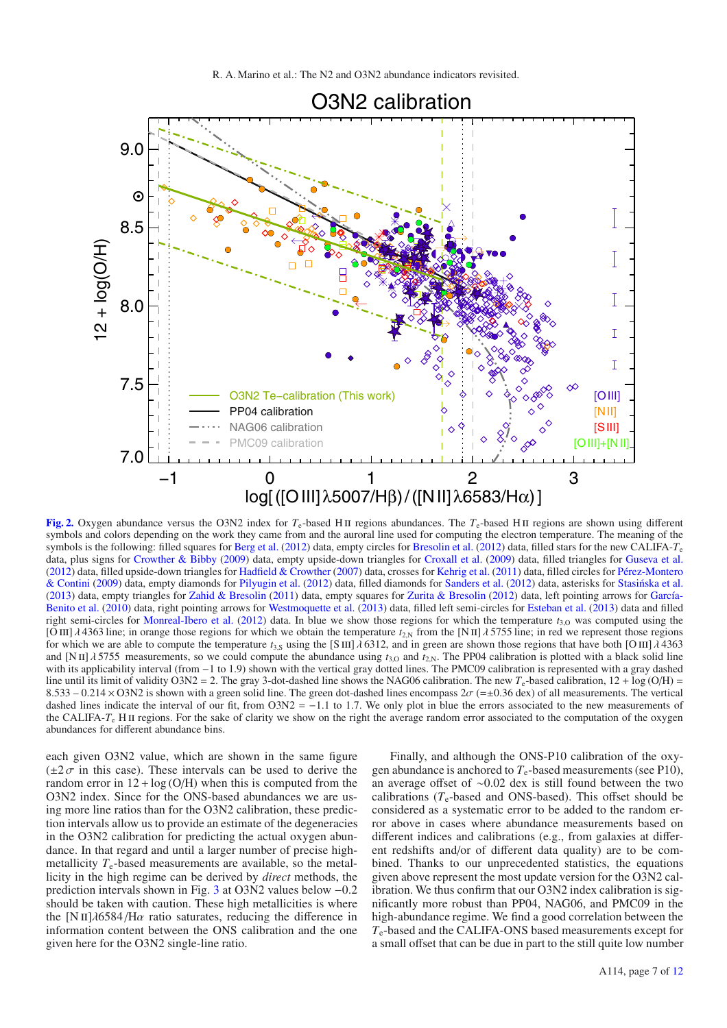

<span id="page-6-0"></span>**[Fig. 2.](http://dexter.edpsciences.org/applet.php?DOI=10.1051/0004-6361/201321956&pdf_id=2)** Oxygen abundance versus the O3N2 index for  $T_e$ -based H II regions abundances. The  $T_e$ -based H II regions are shown using different symbols and colors depending on the work they came from and the auroral line used for computing the electron temperature. The meaning of the symbols is the following: filled squares for [Berg et al.](#page-10-11) [\(2012](#page-10-11)) data, empty circles for [Bresolin et al.](#page-10-12) [\(2012](#page-10-12)) data, filled stars for the new CALIFA-*T*<sup>e</sup> data, plus signs for [Crowther & Bibby](#page-10-13) [\(2009](#page-10-13)) data, empty upside-down triangles for [Croxall et al.](#page-10-14) [\(2009](#page-10-14)) data, filled triangles for [Guseva et al.](#page-10-17) [\(2012](#page-10-17)) da[ta, filled upside-down triangles for](#page-11-7) [Hadfield & Crowther](#page-10-18) [\(2007](#page-10-18)) data, crosses for [Kehrig et al.](#page-10-19) [\(2011\)](#page-10-19) data, filled circles for Pérez-Montero & Contini [\(2009\)](#page-11-7) data, empty diamonds for [Pilyugin et al.](#page-11-4) [\(2012\)](#page-11-4) data, filled diamonds for [Sanders et al.](#page-11-15) [\(2012](#page-11-15)) data, asterisks for [Stasinska et al.](#page-11-16) ´ [\(2013](#page-11-16)) data, empty triangles for [Zahid & Bresolin](#page-11-18) [\(2011](#page-11-18)) data, empty squares for [Zurita & Bresolin](#page-11-19) [\(2012](#page-11-19)[\) data, left pointing arrows for](#page-10-16) García-Benito et al. [\(2010](#page-10-16)) data, right pointing arrows for [Westmoquette et al.](#page-11-17) [\(2013\)](#page-11-17) data, filled left semi-circles for [Esteban et al.](#page-10-15) [\(2013\)](#page-10-15) data and filled right semi-circles for [Monreal-Ibero et al.](#page-10-20) [\(2012](#page-10-20)) data. In blue we show those regions for which the temperature  $t_{3,0}$  was computed using the [O III]  $\lambda$  4363 line; in orange those regions for which we obtain the temperature  $t_{2N}$  from the [N II]  $\lambda$  5755 line; in red we represent those regions for which we are able to compute the temperature  $t_{3,5}$  using the [S III]  $\lambda$  6312, and in green are shown those regions that have both [O III]  $\lambda$  4363 and [N II]  $\lambda$  5755 measurements, so we could compute the abundance using  $t_{3,0}$  and  $t_{2,N}$ . The PP04 calibration is plotted with a black solid line with its applicability interval (from −1 to 1.9) shown with the vertical gray dotted lines. The PMC09 calibration is represented with a gray dashed line until its limit of validity O3N2 = 2. The gray 3-dot-dashed line shows the NAG06 calibration. The new  $T_e$ -based calibration,  $12 + \log (O/H)$  = 8.533 – 0.214 × O3N2 is shown with a green solid line. The green dot-dashed lines encompass  $2\sigma$  (=±0.36 dex) of all measurements. The vertical dashed lines indicate the interval of our fit, from  $O3N2 = -1.1$  to 1.7. We only plot in blue the errors associated to the new measurements of the CALIFA-*T*<sub>e</sub> H<sub>II</sub> regions. For the sake of clarity we show on the right the average random error associated to the computation of the oxygen abundances for different abundance bins.

each given O3N2 value, which are shown in the same figure  $(\pm 2\sigma)$  in this case). These intervals can be used to derive the random error in  $12 + \log(O/H)$  when this is computed from the O3N2 index. Since for the ONS-based abundances we are using more line ratios than for the O3N2 calibration, these prediction intervals allow us to provide an estimate of the degeneracies in the O3N2 calibration for predicting the actual oxygen abundance. In that regard and until a larger number of precise highmetallicity  $T_e$ -based measurements are available, so the metallicity in the high regime can be derived by *direct* methods, the prediction intervals shown in Fig. [3](#page-7-0) at O3N2 values below −0.2 should be taken with caution. These high metallicities is where the [N II] $\lambda$ 6584/H $\alpha$  ratio saturates, reducing the difference in information content between the ONS calibration and the one given here for the O3N2 single-line ratio.

Finally, and although the ONS-P10 calibration of the oxygen abundance is anchored to  $T_e$ -based measurements (see P10), an average offset of ∼0.02 dex is still found between the two calibrations  $(T_e$ -based and ONS-based). This offset should be considered as a systematic error to be added to the random error above in cases where abundance measurements based on different indices and calibrations (e.g., from galaxies at different redshifts and/or of different data quality) are to be combined. Thanks to our unprecedented statistics, the equations given above represent the most update version for the O3N2 calibration. We thus confirm that our O3N2 index calibration is significantly more robust than PP04, NAG06, and PMC09 in the high-abundance regime. We find a good correlation between the *T*e-based and the CALIFA-ONS based measurements except for a small offset that can be due in part to the still quite low number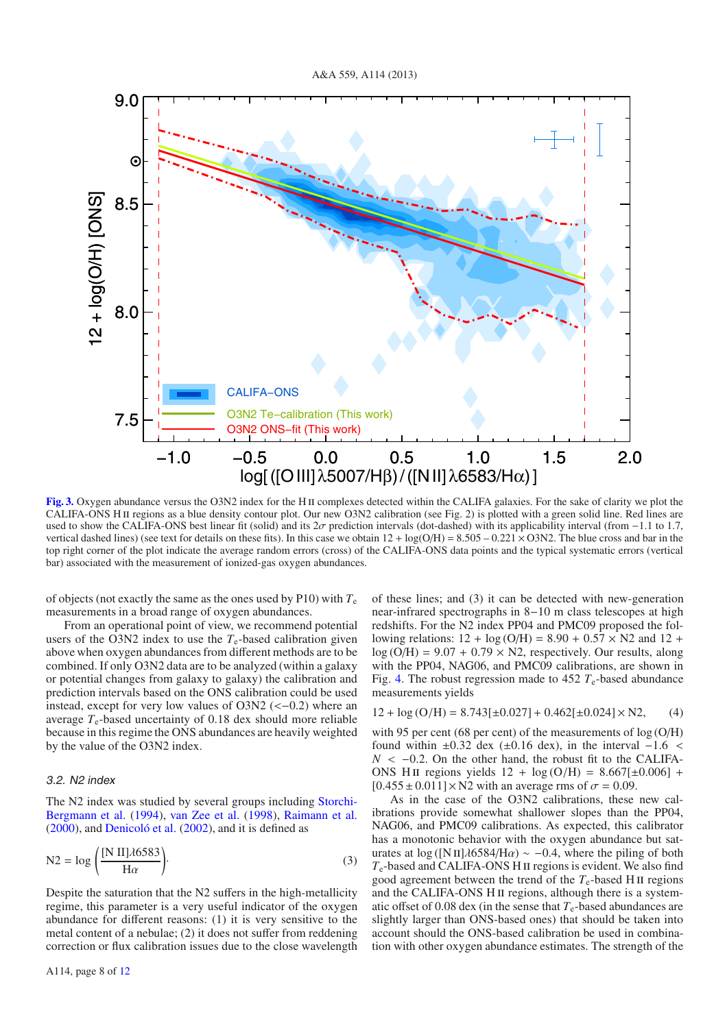

<span id="page-7-0"></span>[Fig. 3.](http://dexter.edpsciences.org/applet.php?DOI=10.1051/0004-6361/201321956&pdf_id=3) Oxygen abundance versus the O3N2 index for the H<sub>II</sub> complexes detected within the CALIFA galaxies. For the sake of clarity we plot the CALIFA-ONS HII regions as a blue density contour plot. Our new O3N2 calibration (see Fig. 2) is plotted with a green solid line. Red lines are used to show the CALIFA-ONS best linear fit (solid) and its  $2\sigma$  prediction intervals (dot-dashed) with its applicability interval (from −1.1 to 1.7, vertical dashed lines) (see text for details on these fits). In this case we obtain  $12 + \log(O/H) = 8.505 - 0.221 \times O3N2$ . The blue cross and bar in the top right corner of the plot indicate the average random errors (cross) of the CALIFA-ONS data points and the typical systematic errors (vertical bar) associated with the measurement of ionized-gas oxygen abundances.

of objects (not exactly the same as the ones used by P10) with  $T_e$ measurements in a broad range of oxygen abundances.

From an operational point of view, we recommend potential users of the O3N2 index to use the  $T_e$ -based calibration given above when oxygen abundances from different methods are to be combined. If only O3N2 data are to be analyzed (within a galaxy or potential changes from galaxy to galaxy) the calibration and prediction intervals based on the ONS calibration could be used instead, except for very low values of  $O3N2$  (< $-0.2$ ) where an average  $T_e$ -based uncertainty of 0.18 dex should more reliable because in this regime the ONS abundances are heavily weighted by the value of the O3N2 index.

#### 3.2. N2 index

The N2 index [was studied by several groups including](#page-11-37) Storchi-Bergmann et al. [\(1994](#page-11-37)), [van Zee et al.](#page-11-38) [\(1998](#page-11-38)), [Raimann et al.](#page-11-39) [\(2000](#page-11-39)), and [Denicoló et al.](#page-10-32) [\(2002\)](#page-10-32), and it is defined as

$$
N2 = \log\left(\frac{[N\ II]\lambda 6583}{H\alpha}\right).
$$
\n(3)

Despite the saturation that the N2 suffers in the high-metallicity regime, this parameter is a very useful indicator of the oxygen abundance for different reasons: (1) it is very sensitive to the metal content of a nebulae; (2) it does not suffer from reddening correction or flux calibration issues due to the close wavelength of these lines; and (3) it can be detected with new-generation near-infrared spectrographs in 8−10 m class telescopes at high redshifts. For the N2 index PP04 and PMC09 proposed the following relations:  $12 + \log (O/H) = 8.90 + 0.57 \times N2$  and  $12 +$  $log(O/H) = 9.07 + 0.79 \times N2$ , respectively. Our results, along with the PP04, NAG06, and PMC09 calibrations, are shown in Fig. [4.](#page-8-0) The robust regression made to  $452 T<sub>e</sub>$ -based abundance measurements yields

$$
12 + \log \left( \text{O/H} \right) = 8.743 [\pm 0.027] + 0.462 [\pm 0.024] \times \text{N2}, \quad (4)
$$

with 95 per cent (68 per cent) of the measurements of  $log(O/H)$ found within  $±0.32$  dex ( $±0.16$  dex), in the interval  $-1.6$  <  $N < -0.2$ . On the other hand, the robust fit to the CALIFA-ONS HII regions yields  $12 + \log(O/H) = 8.667[\pm 0.006]$  +  $[0.455 \pm 0.011] \times N2$  with an average rms of  $\sigma = 0.09$ .

As in the case of the O3N2 calibrations, these new calibrations provide somewhat shallower slopes than the PP04, NAG06, and PMC09 calibrations. As expected, this calibrator has a monotonic behavior with the oxygen abundance but saturates at log ( $[N II]\lambda 6584/H\alpha$ ) ~ -0.4, where the piling of both  $T_e$ -based and CALIFA-ONS H<sub>II</sub> regions is evident. We also find good agreement between the trend of the  $T_e$ -based H II regions and the CALIFA-ONS H II regions, although there is a systematic offset of 0.08 dex (in the sense that  $T_e$ -based abundances are slightly larger than ONS-based ones) that should be taken into account should the ONS-based calibration be used in combination with other oxygen abundance estimates. The strength of the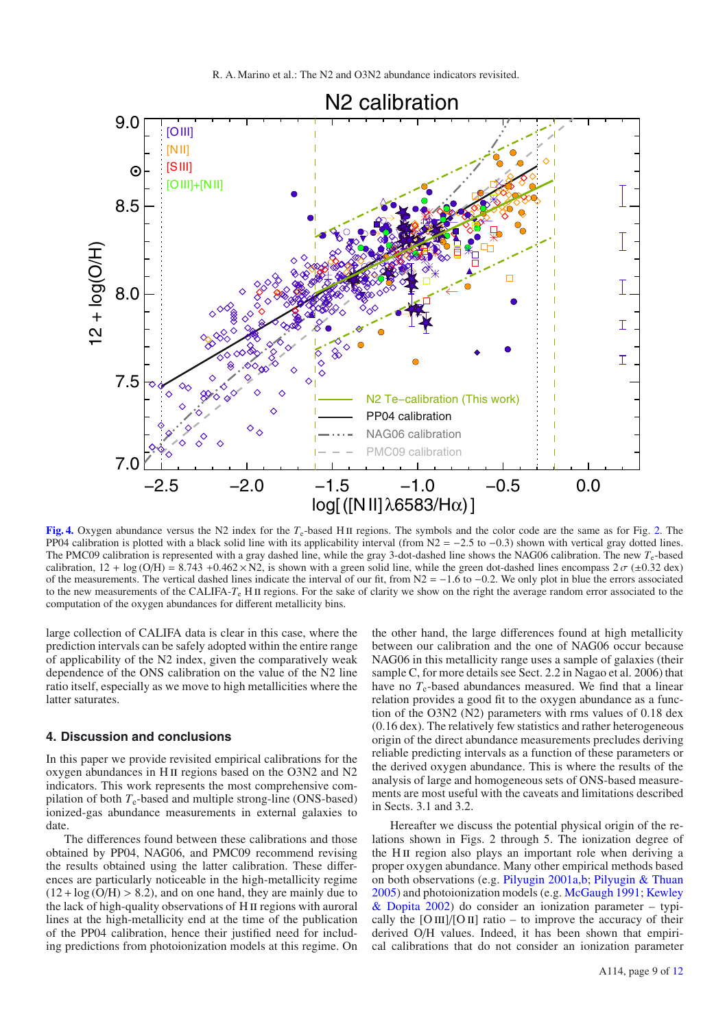

<span id="page-8-0"></span>**[Fig. 4.](http://dexter.edpsciences.org/applet.php?DOI=10.1051/0004-6361/201321956&pdf_id=4)** Oxygen abundance versus the N2 index for the *T*<sub>e</sub>-based H<sub>II</sub> regions. The symbols and the color code are the same as for Fig. [2.](#page-6-0) The PP04 calibration is plotted with a black solid line with its applicability interval (from  $N2 = -2.5$  to  $-0.3$ ) shown with vertical gray dotted lines. The PMC09 calibration is represented with a gray dashed line, while the gray 3-dot-dashed line shows the NAG06 calibration. The new *T*e-based calibration,  $12 + \log(O/H) = 8.743 + 0.462 \times N2$ , is shown with a green solid line, while the green dot-dashed lines encompass  $2\sigma (\pm 0.32 \text{ dex})$ of the measurements. The vertical dashed lines indicate the interval of our fit, from  $N2 = -1.6$  to  $-0.2$ . We only plot in blue the errors associated to the new measurements of the CALIFA-T<sub>e</sub> H<sub>II</sub> regions. For the sake of clarity we show on the right the average random error associated to the computation of the oxygen abundances for different metallicity bins.

large collection of CALIFA data is clear in this case, where the prediction intervals can be safely adopted within the entire range of applicability of the N2 index, given the comparatively weak dependence of the ONS calibration on the value of the N2 line ratio itself, especially as we move to high metallicities where the latter saturates.

#### **4. Discussion and conclusions**

In this paper we provide revisited empirical calibrations for the oxygen abundances in H<sub>II</sub> regions based on the O3N2 and N2 indicators. This work represents the most comprehensive compilation of both  $T_e$ -based and multiple strong-line (ONS-based) ionized-gas abundance measurements in external galaxies to date.

The differences found between these calibrations and those obtained by PP04, NAG06, and PMC09 recommend revising the results obtained using the latter calibration. These differences are particularly noticeable in the high-metallicity regime  $(12 + \log(O/H) > 8.2)$ , and on one hand, they are mainly due to the lack of high-quality observations of H ii regions with auroral lines at the high-metallicity end at the time of the publication of the PP04 calibration, hence their justified need for including predictions from photoionization models at this regime. On the other hand, the large differences found at high metallicity between our calibration and the one of NAG06 occur because NAG06 in this metallicity range uses a sample of galaxies (their sample C, for more details see Sect. 2.2 in Nagao et al. 2006) that have no  $T_e$ -based abundances measured. We find that a linear relation provides a good fit to the oxygen abundance as a function of the O3N2 (N2) parameters with rms values of 0.18 dex (0.16 dex). The relatively few statistics and rather heterogeneous origin of the direct abundance measurements precludes deriving reliable predicting intervals as a function of these parameters or the derived oxygen abundance. This is where the results of the analysis of large and homogeneous sets of ONS-based measurements are most useful with the caveats and limitations described in Sects. 3.1 and 3.2.

Hereafter we discuss the potential physical origin of the relations shown in Figs. 2 through 5. The ionization degree of the H<sub>II</sub> region also plays an important role when deriving a proper oxygen abundance. Many other empirical methods based on both observations (e.g. [Pilyugin 2001a](#page-11-26)[,b;](#page-11-40) [Pilyugin & Thuan](#page-11-28) [2005\)](#page-11-28) an[d](#page-10-4) [photoionization](#page-10-4) [models](#page-10-4) [\(e.g.](#page-10-4) [McGaugh 1991](#page-10-3); Kewley & Dopita [2002](#page-10-4)) do consider an ionization parameter – typically the  $[O III]/[O II]$  ratio – to improve the accuracy of their derived O/H values. Indeed, it has been shown that empirical calibrations that do not consider an ionization parameter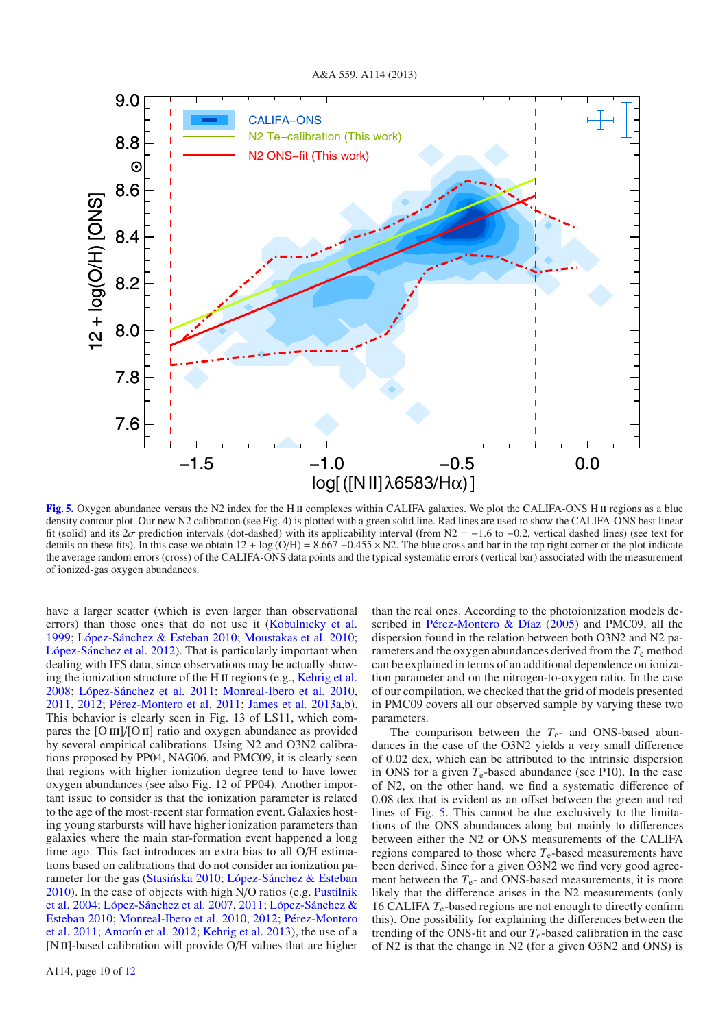

<span id="page-9-0"></span>**[Fig. 5.](http://dexter.edpsciences.org/applet.php?DOI=10.1051/0004-6361/201321956&pdf_id=5)** Oxygen abundance versus the N2 index for the H<sub>II</sub> complexes within CALIFA galaxies. We plot the CALIFA-ONS H<sub>II</sub> regions as a blue density contour plot. Our new N2 calibration (see Fig. 4) is plotted with a green solid line. Red lines are used to show the CALIFA-ONS best linear fit (solid) and its  $2\sigma$  prediction intervals (dot-dashed) with its applicability interval (from N2 = −1.6 to −0.2, vertical dashed lines) (see text for details on these fits). In this case we obtain  $12 + \log (O/H) = 8.667 + 0.455 \times N2$ . The blue cross and bar in the top right corner of the plot indicate the average random errors (cross) of the CALIFA-ONS data points and the typical systematic errors (vertical bar) associated with the measurement of ionized-gas oxygen abundances.

have a larger scatter (which is even larger than observational errors) than those ones that do not use it [\(Kobulnicky et al.](#page-10-33) [1999;](#page-10-33) [López-Sánchez & Esteban 2010](#page-10-27); [Moustakas et al. 2010;](#page-10-34) [López-Sánchez et al. 2012\)](#page-10-35). That is particularly important when dealing with IFS data, since observations may be actually show-ing the ionization structure of the H<sub>II</sub> regions (e.g., [Kehrig et al.](#page-10-36) [2008;](#page-10-36) [López-Sánchez et al. 2011;](#page-10-6) [Monreal-Ibero et al. 2010](#page-10-37), [2011,](#page-10-38) [2012;](#page-10-20) [Pérez-Montero et al. 2011](#page-11-41); [James et al. 2013a](#page-10-39)[,b](#page-10-40)). This behavior is clearly seen in Fig. 13 of LS11, which compares the  $[O III]/[O II]$  ratio and oxygen abundance as provided by several empirical calibrations. Using N2 and O3N2 calibrations proposed by PP04, NAG06, and PMC09, it is clearly seen that regions with higher ionization degree tend to have lower oxygen abundances (see also Fig. 12 of PP04). Another important issue to consider is that the ionization parameter is related to the age of the most-recent star formation event. Galaxies hosting young starbursts will have higher ionization parameters than galaxies where the main star-formation event happened a long time ago. This fact introduces an extra bias to all O/H estimations based on calibrations that do not consider an ionization pa-rameter for the gas (Stasińska 2010; [López-Sánchez & Esteban](#page-10-27) [2010](#page-10-27)[\).](#page-11-43) [In](#page-11-43) [the](#page-11-43) [case](#page-11-43) [of](#page-11-43) [objects](#page-11-43) [with](#page-11-43) [high](#page-11-43) [N](#page-11-43)/O ratios (e.g. Pustilnik et al. [2004;](#page-11-43) [López-Sánchez et al. 2007](#page-10-41)[,](#page-10-27) [2011;](#page-10-6) López-Sánchez & Esteban [2010](#page-10-27); [Monreal-Ibero et al. 2010](#page-10-37)[,](#page-11-41) [2012](#page-10-20); Pérez-Montero et al. [2011;](#page-11-41) [Amorín et al. 2012;](#page-10-42) [Kehrig et al. 2013](#page-10-7)), the use of a [N II]-based calibration will provide O/H values that are higher than the real ones. According to the photoionization models described in [Pérez-Montero & Díaz](#page-11-32) [\(2005](#page-11-32)) and PMC09, all the dispersion found in the relation between both O3N2 and N2 parameters and the oxygen abundances derived from the  $T<sub>e</sub>$  method can be explained in terms of an additional dependence on ionization parameter and on the nitrogen-to-oxygen ratio. In the case of our compilation, we checked that the grid of models presented in PMC09 covers all our observed sample by varying these two parameters.

The comparison between the  $T_e$ - and ONS-based abundances in the case of the O3N2 yields a very small difference of 0.02 dex, which can be attributed to the intrinsic dispersion in ONS for a given  $T_e$ -based abundance (see P10). In the case of N2, on the other hand, we find a systematic difference of 0.08 dex that is evident as an offset between the green and red lines of Fig. [5.](#page-9-0) This cannot be due exclusively to the limitations of the ONS abundances along but mainly to differences between either the N2 or ONS measurements of the CALIFA regions compared to those where  $T_e$ -based measurements have been derived. Since for a given O3N2 we find very good agreement between the  $T_e$ - and ONS-based measurements, it is more likely that the difference arises in the N2 measurements (only 16 CALIFA *T*e-based regions are not enough to directly confirm this). One possibility for explaining the differences between the trending of the ONS-fit and our  $T_e$ -based calibration in the case of N2 is that the change in N2 (for a given O3N2 and ONS) is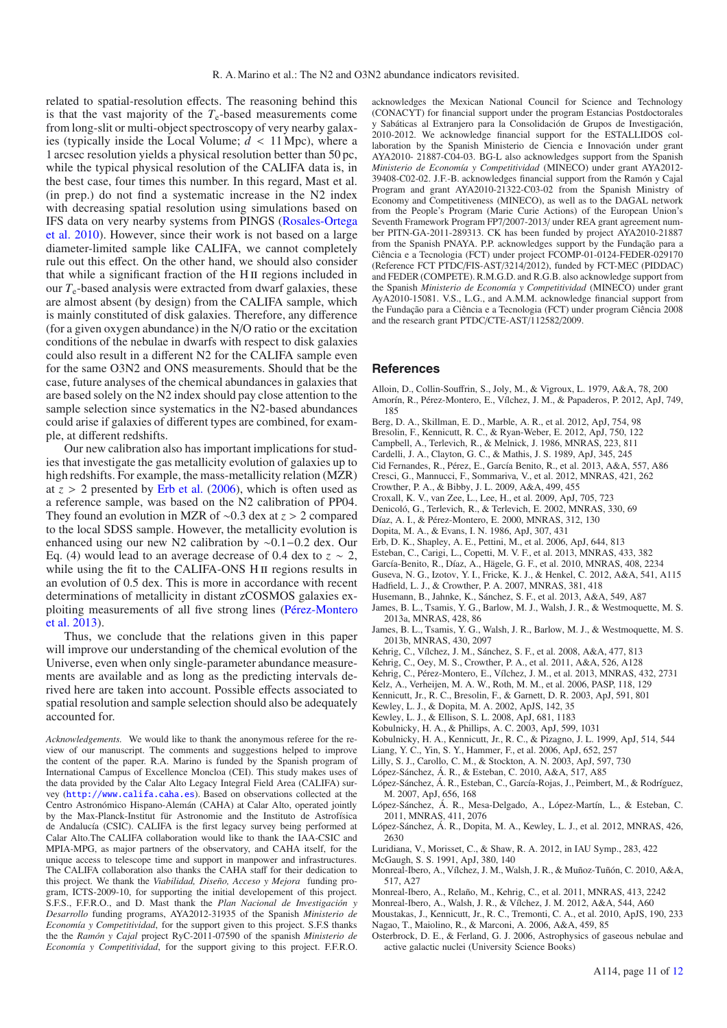related to spatial-resolution effects. The reasoning behind this is that the vast majority of the  $T_e$ -based measurements come from long-slit or multi-object spectroscopy of very nearby galaxies (typically inside the Local Volume;  $d < 11$  Mpc), where a 1 arcsec resolution yields a physical resolution better than 50 pc, while the typical physical resolution of the CALIFA data is, in the best case, four times this number. In this regard, Mast et al. (in prep.) do not find a systematic increase in the N2 index with decreasing spatial resolution using simulations based on IFS [data](#page-11-44) [on](#page-11-44) [very](#page-11-44) [nearby](#page-11-44) [systems](#page-11-44) [from](#page-11-44) [PINGS](#page-11-44) [\(](#page-11-44)Rosales-Ortega et al. [2010](#page-11-44)). However, since their work is not based on a large diameter-limited sample like CALIFA, we cannot completely rule out this effect. On the other hand, we should also consider that while a significant fraction of the H<sub>II</sub> regions included in our  $T_e$ -based analysis were extracted from dwarf galaxies, these are almost absent (by design) from the CALIFA sample, which is mainly constituted of disk galaxies. Therefore, any difference (for a given oxygen abundance) in the N/O ratio or the excitation conditions of the nebulae in dwarfs with respect to disk galaxies could also result in a different N2 for the CALIFA sample even for the same O3N2 and ONS measurements. Should that be the case, future analyses of the chemical abundances in galaxies that are based solely on the N2 index should pay close attention to the sample selection since systematics in the N2-based abundances could arise if galaxies of different types are combined, for example, at different redshifts.

Our new calibration also has important implications for studies that investigate the gas metallicity evolution of galaxies up to high redshifts. For example, the mass-metallicity relation (MZR) at  $z > 2$  presented by [Erb et al.](#page-10-43) [\(2006](#page-10-43)), which is often used as a reference sample, was based on the N2 calibration of PP04. They found an evolution in MZR of ∼0.3 dex at *z* > 2 compared to the local SDSS sample. However, the metallicity evolution is enhanced using our new N2 calibration by ∼0.1−0.2 dex. Our Eq. (4) would lead to an average decrease of 0.4 dex to  $z \sim 2$ , while using the fit to the CALIFA-ONS H II regions results in an evolution of 0.5 dex. This is more in accordance with recent determinations of metallicity in distant zCOSMOS galaxies exploiting measurements of all five strong lines (Pérez-Montero et al. [2013\)](#page-11-45).

Thus, we conclude that the relations given in this paper will improve our understanding of the chemical evolution of the Universe, even when only single-parameter abundance measurements are available and as long as the predicting intervals derived here are taken into account. Possible effects associated to spatial resolution and sample selection should also be adequately accounted for.

*Acknowledgements.* We would like to thank the anonymous referee for the review of our manuscript. The comments and suggestions helped to improve the content of the paper. R.A. Marino is funded by the Spanish program of International Campus of Excellence Moncloa (CEI). This study makes uses of the data provided by the Calar Alto Legacy Integral Field Area (CALIFA) survey (<http://www.califa.caha.es>). Based on observations collected at the Centro Astronómico Hispano-Alemán (CAHA) at Calar Alto, operated jointly by the Max-Planck-Institut für Astronomie and the Instituto de Astrofísica de Andalucía (CSIC). CALIFA is the first legacy survey being performed at Calar Alto.The CALIFA collaboration would like to thank the IAA-CSIC and MPIA-MPG, as major partners of the observatory, and CAHA itself, for the unique access to telescope time and support in manpower and infrastructures. The CALIFA collaboration also thanks the CAHA staff for their dedication to this project. We thank the *Viabilidad, Diseño, Acceso y Mejora* funding program, ICTS-2009-10, for supporting the initial developement of this project. S.F.S., F.F.R.O., and D. Mast thank the *Plan Nacional de Investigación y Desarrollo* funding programs, AYA2012-31935 of the Spanish *Ministerio de Economía y Competitividad*, for the support given to this project. S.F.S thanks the the *Ramón y Cajal* project RyC-2011-07590 of the spanish *Ministerio de Economía y Competitividad*, for the support giving to this project. F.F.R.O. acknowledges the Mexican National Council for Science and Technology (CONACYT) for financial support under the program Estancias Postdoctorales y Sabáticas al Extranjero para la Consolidación de Grupos de Investigación, 2010-2012. We acknowledge financial support for the ESTALLIDOS collaboration by the Spanish Ministerio de Ciencia e Innovación under grant AYA2010- 21887-C04-03. BG-L also acknowledges support from the Spanish *Ministerio de Economía y Competitividad* (MINECO) under grant AYA2012- 39408-C02-02. J.F.-B. acknowledges financial support from the Ramón y Cajal Program and grant AYA2010-21322-C03-02 from the Spanish Ministry of Economy and Competitiveness (MINECO), as well as to the DAGAL network from the People's Program (Marie Curie Actions) of the European Union's Seventh Framework Program FP7/2007-2013/ under REA grant agreement number PITN-GA-2011-289313. CK has been funded by project AYA2010-21887 from the Spanish PNAYA. P.P. acknowledges support by the Fundação para a Ciência e a Tecnologia (FCT) under project FCOMP-01-0124-FEDER-029170 (Reference FCT PTDC/FIS-AST/3214/2012), funded by FCT-MEC (PIDDAC) and FEDER (COMPETE). R.M.G.D. and R.G.B. also acknowledge support from the Spanish *Ministerio de Economía y Competitividad* (MINECO) under grant AyA2010-15081. V.S., L.G., and A.M.M. acknowledge financial support from the Fundação para a Ciência e a Tecnologia (FCT) under program Ciência 2008 and the research grant PTDC/CTE-AST/112582/2009.

#### **References**

- <span id="page-10-42"></span><span id="page-10-31"></span>Alloin, D., Collin-Souffrin, S., Joly, M., & Vigroux, L. 1979, A&A, 78, 200 Amorín, R., Pérez-Montero, E., Vílchez, J. M., & Papaderos, P. 2012, ApJ, 749,
- 185
- <span id="page-10-11"></span>Berg, D. A., Skillman, E. D., Marble, A. R., et al. 2012, ApJ, 754, 98
- <span id="page-10-12"></span>Bresolin, F., Kennicutt, R. C., & Ryan-Weber, E. 2012, ApJ, 750, 122
- <span id="page-10-28"></span>Campbell, A., Terlevich, R., & Melnick, J. 1986, MNRAS, 223, 811
- <span id="page-10-23"></span>Cardelli, J. A., Clayton, G. C., & Mathis, J. S. 1989, ApJ, 345, 245
- Cid Fernandes, R., Pérez, E., García Benito, R., et al. 2013, A&A, 557, A86
- <span id="page-10-22"></span><span id="page-10-5"></span>Cresci, G., Mannucci, F., Sommariva, V., et al. 2012, MNRAS, 421, 262
- Crowther, P. A., & Bibby, J. L. 2009, A&A, 499, 455
- Croxall, K. V., van Zee, L., Lee, H., et al. 2009, ApJ, 705, 723
- <span id="page-10-32"></span><span id="page-10-25"></span><span id="page-10-24"></span><span id="page-10-14"></span><span id="page-10-13"></span>Denicoló, G., Terlevich, R., & Terlevich, E. 2002, MNRAS, 330, 69
- Díaz, A. I., & Pérez-Montero, E. 2000, MNRAS, 312, 130
- Dopita, M. A., & Evans, I. N. 1986, ApJ, 307, 431
- <span id="page-10-43"></span>Erb, D. K., Shapley, A. E., Pettini, M., et al. 2006, ApJ, 644, 813
- <span id="page-10-15"></span>Esteban, C., Carigi, L., Copetti, M. V. F., et al. 2013, MNRAS, 433, 382
- <span id="page-10-16"></span>García-Benito, R., Díaz, A., Hägele, G. F., et al. 2010, MNRAS, 408, 2234
- <span id="page-10-17"></span>Guseva, N. G., Izotov, Y. I., Fricke, K. J., & Henkel, C. 2012, A&A, 541, A115
- Hadfield, L. J., & Crowther, P. A. 2007, MNRAS, 381, 418
- 
- <span id="page-10-39"></span><span id="page-10-21"></span><span id="page-10-18"></span>Husemann, B., Jahnke, K., Sánchez, S. F., et al. 2013, A&A, 549, A87 James, B. L., Tsamis, Y. G., Barlow, M. J., Walsh, J. R., & Westmoquette, M. S. 2013a, MNRAS, 428, 86
- <span id="page-10-40"></span>James, B. L., Tsamis, Y. G., Walsh, J. R., Barlow, M. J., & Westmoquette, M. S. 2013b, MNRAS, 430, 2097
- Kehrig, C., Vílchez, J. M., Sánchez, S. F., et al. 2008, A&A, 477, 813
- <span id="page-10-36"></span><span id="page-10-19"></span>Kehrig, C., Oey, M. S., Crowther, P. A., et al. 2011, A&A, 526, A128
- Kehrig, C., Pérez-Montero, E., Vílchez, J. M., et al. 2013, MNRAS, 432, 2731
- Kelz, A., Verheijen, M. A. W., Roth, M. M., et al. 2006, PASP, 118, 129
- <span id="page-10-29"></span><span id="page-10-10"></span><span id="page-10-7"></span>Kennicutt, Jr., R. C., Bresolin, F., & Garnett, D. R. 2003, ApJ, 591, 801
- 
- Kewley, L. J., & Dopita, M. A. 2002, ApJS, 142, 35
- <span id="page-10-8"></span><span id="page-10-4"></span><span id="page-10-1"></span>Kewley, L. J., & Ellison, S. L. 2008, ApJ, 681, 1183
- Kobulnicky, H. A., & Phillips, A. C. 2003, ApJ, 599, 1031
- <span id="page-10-33"></span>Kobulnicky, H. A., Kennicutt, Jr., R. C., & Pizagno, J. L. 1999, ApJ, 514, 544
- <span id="page-10-26"></span>Liang, Y. C., Yin, S. Y., Hammer, F., et al. 2006, ApJ, 652, 257
- <span id="page-10-2"></span>Lilly, S. J., Carollo, C. M., & Stockton, A. N. 2003, ApJ, 597, 730
- <span id="page-10-27"></span>López-Sánchez, Á. R., & Esteban, C. 2010, A&A, 517, A85
- <span id="page-10-41"></span>López-Sánchez, Á. R., Esteban, C., García-Rojas, J., Peimbert, M., & Rodríguez, M. 2007, ApJ, 656, 168
- <span id="page-10-6"></span>López-Sánchez, Á. R., Mesa-Delgado, A., López-Martín, L., & Esteban, C. 2011, MNRAS, 411, 2076
- <span id="page-10-35"></span>López-Sánchez, Á. R., Dopita, M. A., Kewley, L. J., et al. 2012, MNRAS, 426, 2630
- <span id="page-10-30"></span>Luridiana, V., Morisset, C., & Shaw, R. A. 2012, in IAU Symp., 283, 422
- McGaugh, S. S. 1991, ApJ, 380, 140
- <span id="page-10-37"></span><span id="page-10-3"></span>Monreal-Ibero, A., Vílchez, J. M., Walsh, J. R., & Muñoz-Tuñón, C. 2010, A&A, 517, A27
- Monreal-Ibero, A., Relaño, M., Kehrig, C., et al. 2011, MNRAS, 413, 2242
- <span id="page-10-38"></span><span id="page-10-20"></span>Monreal-Ibero, A., Walsh, J. R., & Vílchez, J. M. 2012, A&A, 544, A60
- Moustakas, J., Kennicutt, Jr., R. C., Tremonti, C. A., et al. 2010, ApJS, 190, 233
- <span id="page-10-34"></span><span id="page-10-9"></span><span id="page-10-0"></span>Nagao, T., Maiolino, R., & Marconi, A. 2006, A&A, 459, 85 Osterbrock, D. E., & Ferland, G. J. 2006, Astrophysics of gaseous nebulae and active galactic nuclei (University Science Books)